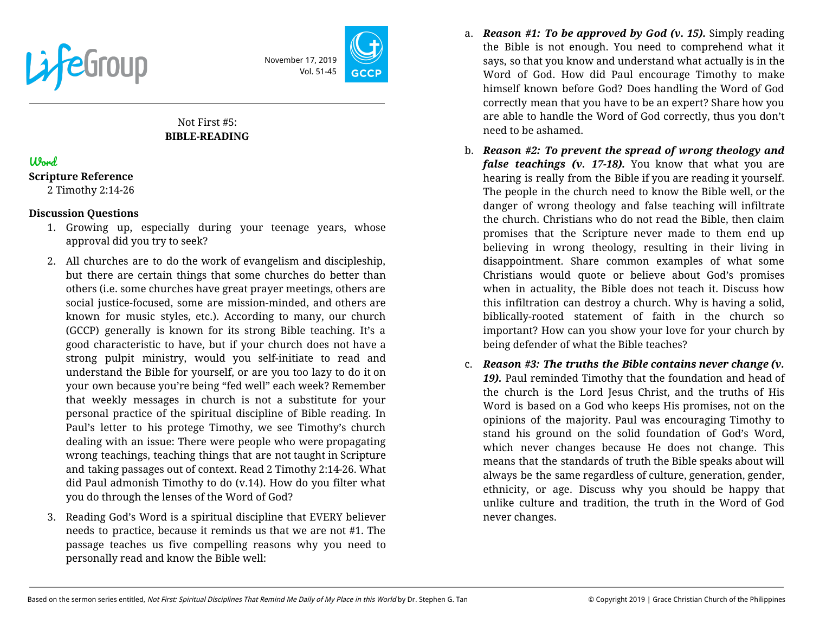

November 17, 2019 Vol. 51-45

# Not First #5: **BIBLE-READING**

# Word

#### **Scripture Reference**

2 Timothy 2:14-26

### **Discussion Questions**

- 1. Growing up, especially during your teenage years, whose approval did you try to seek?
- 2. All churches are to do the work of evangelism and discipleship, but there are certain things that some churches do better than others (i.e. some churches have great prayer meetings, others are social justice-focused, some are mission-minded, and others are known for music styles, etc.). According to many, our church (GCCP) generally is known for its strong Bible teaching. It's a good characteristic to have, but if your church does not have a strong pulpit ministry, would you self-initiate to read and understand the Bible for yourself, or are you too lazy to do it on your own because you're being "fed well" each week? Remember that weekly messages in church is not a substitute for your personal practice of the spiritual discipline of Bible reading. In Paul's letter to his protege Timothy, we see Timothy's church dealing with an issue: There were people who were propagating wrong teachings, teaching things that are not taught in Scripture and taking passages out of context. Read 2 Timothy 2:14-26. What did Paul admonish Timothy to do (v.14). How do you filter what you do through the lenses of the Word of God?
- 3. Reading God's Word is a spiritual discipline that EVERY believer needs to practice, because it reminds us that we are not #1. The passage teaches us five compelling reasons why you need to personally read and know the Bible well:
- a. *Reason #1: To be approved by God (v. 15).* Simply reading the Bible is not enough. You need to comprehend what it says, so that you know and understand what actually is in the Word of God. How did Paul encourage Timothy to make himself known before God? Does handling the Word of God correctly mean that you have to be an expert? Share how you are able to handle the Word of God correctly, thus you don't need to be ashamed.
- b. *Reason #2: To prevent the spread of wrong theology and false teachings (v. 17-18).* You know that what you are hearing is really from the Bible if you are reading it yourself. The people in the church need to know the Bible well, or the danger of wrong theology and false teaching will infiltrate the church. Christians who do not read the Bible, then claim promises that the Scripture never made to them end up believing in wrong theology, resulting in their living in disappointment. Share common examples of what some Christians would quote or believe about God's promises when in actuality, the Bible does not teach it. Discuss how this infiltration can destroy a church. Why is having a solid, biblically-rooted statement of faith in the church so important? How can you show your love for your church by being defender of what the Bible teaches?
- c. *Reason #3: The truths the Bible contains never change (v. 19).* Paul reminded Timothy that the foundation and head of the church is the Lord Jesus Christ, and the truths of His Word is based on a God who keeps His promises, not on the opinions of the majority. Paul was encouraging Timothy to stand his ground on the solid foundation of God's Word, which never changes because He does not change. This means that the standards of truth the Bible speaks about will always be the same regardless of culture, generation, gender, ethnicity, or age. Discuss why you should be happy that unlike culture and tradition, the truth in the Word of God never changes.